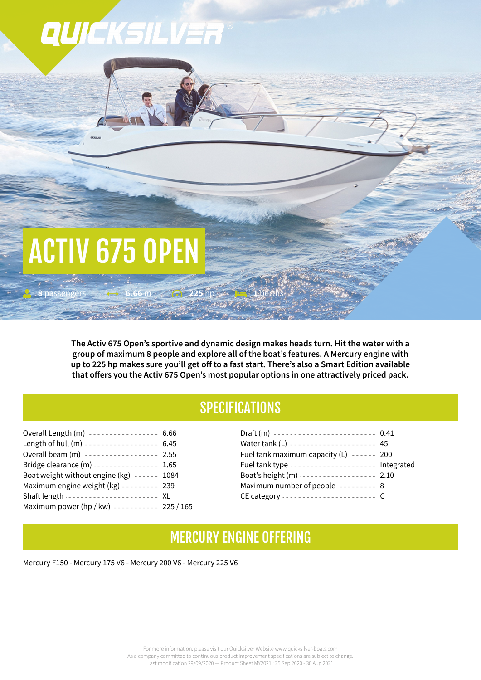# QUICKSILVER

# ACTIV 675 OPEN

**8** passengers **6.66** m **225** hp

**The Activ 675 Open's sportive and dynamic design makes heads turn. Hit the water with a group of maximum 8 people and explore all of the boat's features. A Mercury engine with** up to 225 hp makes sure you'll get off to a fast start. There's also a Smart Edition available **that offers you the Activ 675 Open's most popular options in one attractively priced pack.**

# **SPECIFICATIONS**

| Overall Length (m) ---------------- 6.66      |
|-----------------------------------------------|
| Length of hull (m) ----------------- 6.45     |
| Overall beam (m) ----------------- 2.55       |
| Bridge clearance (m) 1.65                     |
| Boat weight without engine $(kg)$ ------ 1084 |
| Maximum engine weight (kg) --------- 239      |
| Shaft length ---------------------- XL        |
| Maximum power (hp / kw) ---------- 225 / 165  |
|                                               |

| Draft (m) ------------------------ 0.41        |  |
|------------------------------------------------|--|
| Water tank (L) --------------------- 45        |  |
| Fuel tank maximum capacity $(L)$ ------ 200    |  |
| Fuel tank type -------------------- Integrated |  |
| Boat's height (m) ----------------- 2.10       |  |
| Maximum number of people -------- 8            |  |
| CE category ----------------------- C          |  |

#### MERCURY ENGINE 0FFERING

Mercury F150 - Mercury 175 V6 - Mercury 200 V6 - Mercury 225 V6